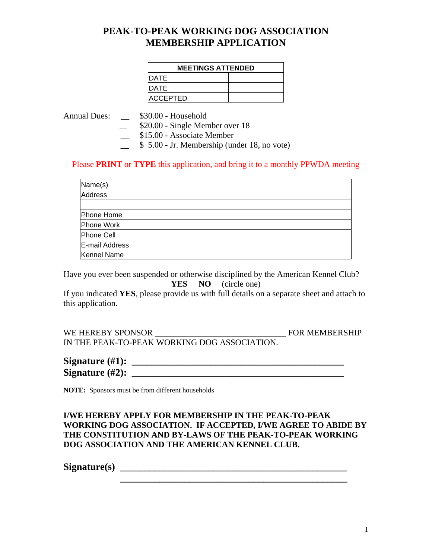#### **PEAK-TO-PEAK WORKING DOG ASSOCIATION MEMBERSHIP APPLICATION**

| <b>MEETINGS ATTENDED</b> |  |  |
|--------------------------|--|--|
| <b>IDATE</b>             |  |  |
| <b>IDATE</b>             |  |  |
| <b>ACCEPTED</b>          |  |  |

Annual Dues: \_\_ \$30.00 - Household

\_\_ \$20.00 - Single Member over 18

\_\_ \$15.00 - Associate Member

 $\frac{\sqrt{2}}{2}$  \$ 5.00 - Jr. Membership (under 18, no vote)

#### Please **PRINT** or **TYPE** this application, and bring it to a monthly PPWDA meeting

| Name(s)        |  |
|----------------|--|
| <b>Address</b> |  |
|                |  |
| Phone Home     |  |
| Phone Work     |  |
| Phone Cell     |  |
| E-mail Address |  |
| Kennel Name    |  |

Have you ever been suspended or otherwise disciplined by the American Kennel Club? **YES NO** (circle one)

If you indicated **YES**, please provide us with full details on a separate sheet and attach to this application.

WE HEREBY SPONSOR \_\_\_\_\_\_\_\_\_\_\_\_\_\_\_\_\_\_\_\_\_\_\_\_\_\_\_\_\_\_\_ FOR MEMBERSHIP IN THE PEAK-TO-PEAK WORKING DOG ASSOCIATION.

| Signature $(\#1)$ : |  |
|---------------------|--|
| Signature $(\#2)$ : |  |

**NOTE:** Sponsors must be from different households

#### **I/WE HEREBY APPLY FOR MEMBERSHIP IN THE PEAK-TO-PEAK WORKING DOG ASSOCIATION. IF ACCEPTED, I/WE AGREE TO ABIDE BY THE CONSTITUTION AND BY-LAWS OF THE PEAK-TO-PEAK WORKING DOG ASSOCIATION AND THE AMERICAN KENNEL CLUB.**

 **\_\_\_\_\_\_\_\_\_\_\_\_\_\_\_\_\_\_\_\_\_\_\_\_\_\_\_\_\_\_\_\_\_\_\_\_\_\_\_\_\_\_\_\_\_\_** 

**Signature(s) \_\_\_\_\_\_\_\_\_\_\_\_\_\_\_\_\_\_\_\_\_\_\_\_\_\_\_\_\_\_\_\_\_\_\_\_\_\_\_\_\_\_\_\_\_\_**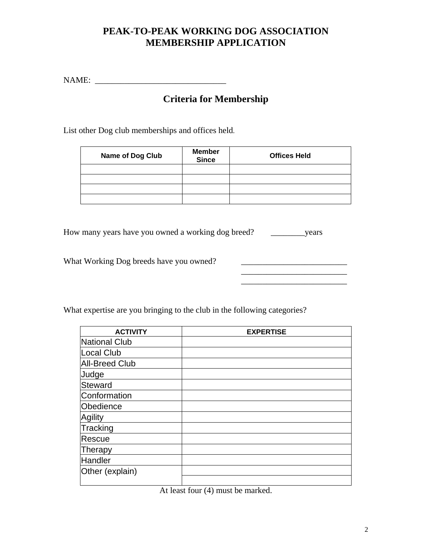### **PEAK-TO-PEAK WORKING DOG ASSOCIATION MEMBERSHIP APPLICATION**

NAME: \_\_\_\_\_\_\_\_\_\_\_\_\_\_\_\_\_\_\_\_\_\_\_\_\_\_\_\_\_\_\_

# **Criteria for Membership**

List other Dog club memberships and offices held.

| <b>Name of Dog Club</b> | <b>Member</b><br><b>Since</b> | <b>Offices Held</b> |
|-------------------------|-------------------------------|---------------------|
|                         |                               |                     |
|                         |                               |                     |
|                         |                               |                     |
|                         |                               |                     |

\_\_\_\_\_\_\_\_\_\_\_\_\_\_\_\_\_\_\_\_\_\_\_\_\_

How many years have you owned a working dog breed? \_\_\_\_\_\_\_\_years

What Working Dog breeds have you owned? \_\_\_\_\_\_\_\_\_\_\_\_\_\_\_\_\_\_\_\_\_\_\_\_\_

What expertise are you bringing to the club in the following categories?

| <b>ACTIVITY</b>       | <b>EXPERTISE</b> |
|-----------------------|------------------|
| National Club         |                  |
| Local Club            |                  |
| <b>All-Breed Club</b> |                  |
| Judge                 |                  |
| Steward               |                  |
| Conformation          |                  |
| Obedience             |                  |
| <b>Agility</b>        |                  |
| Tracking              |                  |
| Rescue                |                  |
| Therapy               |                  |
| Handler               |                  |
| Other (explain)       |                  |
|                       |                  |

At least four (4) must be marked.